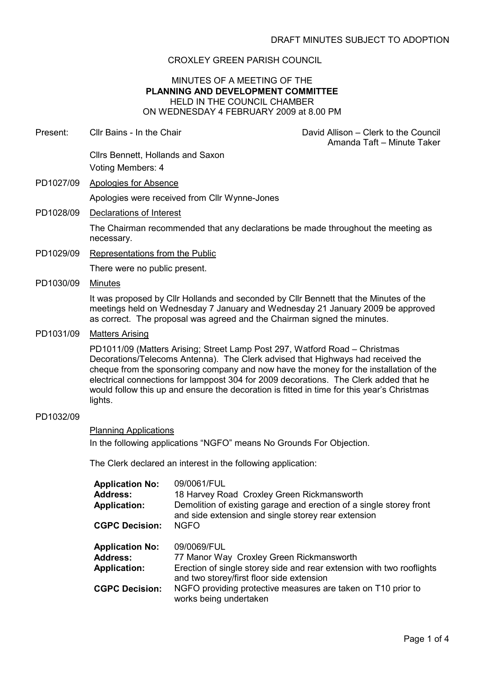## CROXLEY GREEN PARISH COUNCIL

#### MINUTES OF A MEETING OF THE PLANNING AND DEVELOPMENT COMMITTEE HELD IN THE COUNCIL CHAMBER ON WEDNESDAY 4 FEBRUARY 2009 at 8.00 PM

| Present:  | Cllr Bains - In the Chair                                                                                                                                                                                                                                                                                                                                                                                                                                                          |                                                                                                                                 | David Allison – Clerk to the Council<br>Amanda Taft - Minute Taker                                                                                                      |  |
|-----------|------------------------------------------------------------------------------------------------------------------------------------------------------------------------------------------------------------------------------------------------------------------------------------------------------------------------------------------------------------------------------------------------------------------------------------------------------------------------------------|---------------------------------------------------------------------------------------------------------------------------------|-------------------------------------------------------------------------------------------------------------------------------------------------------------------------|--|
|           | Cllrs Bennett, Hollands and Saxon<br>Voting Members: 4                                                                                                                                                                                                                                                                                                                                                                                                                             |                                                                                                                                 |                                                                                                                                                                         |  |
| PD1027/09 | <b>Apologies for Absence</b>                                                                                                                                                                                                                                                                                                                                                                                                                                                       |                                                                                                                                 |                                                                                                                                                                         |  |
|           |                                                                                                                                                                                                                                                                                                                                                                                                                                                                                    | Apologies were received from Cllr Wynne-Jones                                                                                   |                                                                                                                                                                         |  |
| PD1028/09 | Declarations of Interest                                                                                                                                                                                                                                                                                                                                                                                                                                                           |                                                                                                                                 |                                                                                                                                                                         |  |
|           | necessary.                                                                                                                                                                                                                                                                                                                                                                                                                                                                         |                                                                                                                                 | The Chairman recommended that any declarations be made throughout the meeting as                                                                                        |  |
| PD1029/09 | <b>Representations from the Public</b>                                                                                                                                                                                                                                                                                                                                                                                                                                             |                                                                                                                                 |                                                                                                                                                                         |  |
|           | There were no public present.                                                                                                                                                                                                                                                                                                                                                                                                                                                      |                                                                                                                                 |                                                                                                                                                                         |  |
| PD1030/09 | <b>Minutes</b>                                                                                                                                                                                                                                                                                                                                                                                                                                                                     |                                                                                                                                 |                                                                                                                                                                         |  |
|           |                                                                                                                                                                                                                                                                                                                                                                                                                                                                                    | as correct. The proposal was agreed and the Chairman signed the minutes.                                                        | It was proposed by Clir Hollands and seconded by Clir Bennett that the Minutes of the<br>meetings held on Wednesday 7 January and Wednesday 21 January 2009 be approved |  |
| PD1031/09 | <b>Matters Arising</b><br>PD1011/09 (Matters Arising; Street Lamp Post 297, Watford Road - Christmas<br>Decorations/Telecoms Antenna). The Clerk advised that Highways had received the<br>cheque from the sponsoring company and now have the money for the installation of the<br>electrical connections for lamppost 304 for 2009 decorations. The Clerk added that he<br>would follow this up and ensure the decoration is fitted in time for this year's Christmas<br>lights. |                                                                                                                                 |                                                                                                                                                                         |  |
|           |                                                                                                                                                                                                                                                                                                                                                                                                                                                                                    |                                                                                                                                 |                                                                                                                                                                         |  |
| PD1032/09 |                                                                                                                                                                                                                                                                                                                                                                                                                                                                                    |                                                                                                                                 |                                                                                                                                                                         |  |
|           | <b>Planning Applications</b>                                                                                                                                                                                                                                                                                                                                                                                                                                                       |                                                                                                                                 |                                                                                                                                                                         |  |
|           | In the following applications "NGFO" means No Grounds For Objection.                                                                                                                                                                                                                                                                                                                                                                                                               |                                                                                                                                 |                                                                                                                                                                         |  |
|           | The Clerk declared an interest in the following application:                                                                                                                                                                                                                                                                                                                                                                                                                       |                                                                                                                                 |                                                                                                                                                                         |  |
|           | <b>Application No:</b><br><b>Address:</b><br><b>Application:</b><br><b>CGPC Decision:</b>                                                                                                                                                                                                                                                                                                                                                                                          | 09/0061/FUL<br>18 Harvey Road Croxley Green Rickmansworth<br>and side extension and single storey rear extension<br><b>NGFO</b> | Demolition of existing garage and erection of a single storey front                                                                                                     |  |
|           | <b>Application No:</b>                                                                                                                                                                                                                                                                                                                                                                                                                                                             | 09/0069/FUL                                                                                                                     |                                                                                                                                                                         |  |
|           |                                                                                                                                                                                                                                                                                                                                                                                                                                                                                    |                                                                                                                                 |                                                                                                                                                                         |  |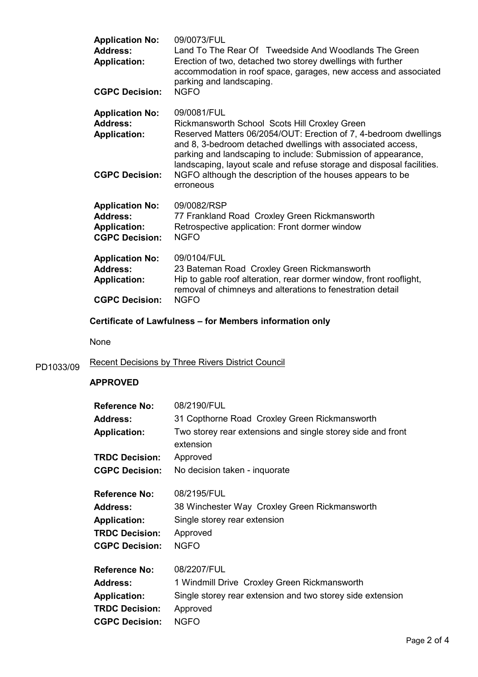| <b>Application No:</b><br><b>Address:</b><br><b>Application:</b><br><b>CGPC Decision:</b> | 09/0073/FUL<br>Land To The Rear Of Tweedside And Woodlands The Green<br>Erection of two, detached two storey dwellings with further<br>accommodation in roof space, garages, new access and associated<br>parking and landscaping.<br><b>NGFO</b>                                                                                                                                                                   |
|-------------------------------------------------------------------------------------------|---------------------------------------------------------------------------------------------------------------------------------------------------------------------------------------------------------------------------------------------------------------------------------------------------------------------------------------------------------------------------------------------------------------------|
| <b>Application No:</b><br><b>Address:</b><br><b>Application:</b><br><b>CGPC Decision:</b> | 09/0081/FUL<br>Rickmansworth School Scots Hill Croxley Green<br>Reserved Matters 06/2054/OUT: Erection of 7, 4-bedroom dwellings<br>and 8, 3-bedroom detached dwellings with associated access,<br>parking and landscaping to include: Submission of appearance,<br>landscaping, layout scale and refuse storage and disposal facilities.<br>NGFO although the description of the houses appears to be<br>erroneous |
| <b>Application No:</b><br><b>Address:</b><br><b>Application:</b><br><b>CGPC Decision:</b> | 09/0082/RSP<br>77 Frankland Road Croxley Green Rickmansworth<br>Retrospective application: Front dormer window<br><b>NGFO</b>                                                                                                                                                                                                                                                                                       |
| <b>Application No:</b><br><b>Address:</b><br><b>Application:</b><br><b>CGPC Decision:</b> | 09/0104/FUL<br>23 Bateman Road Croxley Green Rickmansworth<br>Hip to gable roof alteration, rear dormer window, front rooflight,<br>removal of chimneys and alterations to fenestration detail<br><b>NGFO</b>                                                                                                                                                                                                       |

# Certificate of Lawfulness – for Members information only

None

# PD1033/09 Recent Decisions by Three Rivers District Council

## APPROVED

| 08/2190/FUL                                                 |
|-------------------------------------------------------------|
| 31 Copthorne Road Croxley Green Rickmansworth               |
| Two storey rear extensions and single storey side and front |
| extension                                                   |
| Approved                                                    |
| No decision taken - inquorate                               |
| 08/2195/FUL                                                 |
| 38 Winchester Way Croxley Green Rickmansworth               |
| Single storey rear extension                                |
| Approved                                                    |
| <b>NGFO</b>                                                 |
| 08/2207/FUL                                                 |
| 1 Windmill Drive Croxley Green Rickmansworth                |
| Single storey rear extension and two storey side extension  |
| Approved                                                    |
| <b>NGFO</b>                                                 |
|                                                             |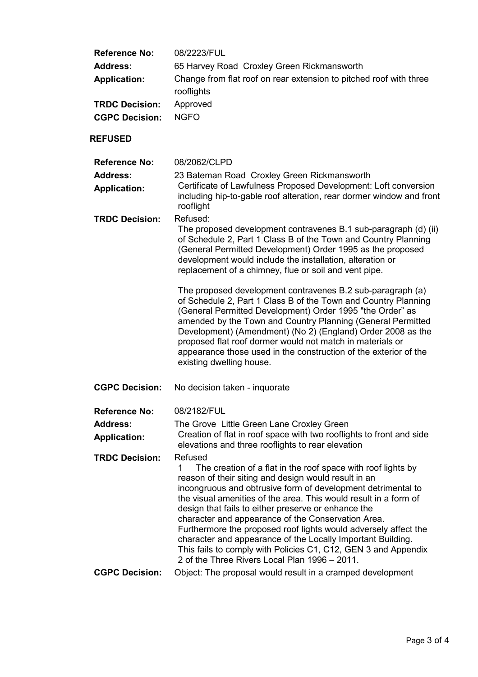| <b>Reference No:</b><br><b>Address:</b><br><b>Application:</b><br><b>TRDC Decision:</b><br><b>CGPC Decision:</b> | 08/2223/FUL<br>65 Harvey Road Croxley Green Rickmansworth<br>Change from flat roof on rear extension to pitched roof with three<br>rooflights<br>Approved<br><b>NGFO</b>                                                                                                                                                                                                                                                                                                                                                                                                                                                                                                                                                                                                                                                  |
|------------------------------------------------------------------------------------------------------------------|---------------------------------------------------------------------------------------------------------------------------------------------------------------------------------------------------------------------------------------------------------------------------------------------------------------------------------------------------------------------------------------------------------------------------------------------------------------------------------------------------------------------------------------------------------------------------------------------------------------------------------------------------------------------------------------------------------------------------------------------------------------------------------------------------------------------------|
| <b>REFUSED</b>                                                                                                   |                                                                                                                                                                                                                                                                                                                                                                                                                                                                                                                                                                                                                                                                                                                                                                                                                           |
| <b>Reference No:</b><br><b>Address:</b><br><b>Application:</b>                                                   | 08/2062/CLPD<br>23 Bateman Road Croxley Green Rickmansworth<br>Certificate of Lawfulness Proposed Development: Loft conversion<br>including hip-to-gable roof alteration, rear dormer window and front<br>rooflight                                                                                                                                                                                                                                                                                                                                                                                                                                                                                                                                                                                                       |
| <b>TRDC Decision:</b>                                                                                            | Refused:<br>The proposed development contravenes B.1 sub-paragraph (d) (ii)<br>of Schedule 2, Part 1 Class B of the Town and Country Planning<br>(General Permitted Development) Order 1995 as the proposed<br>development would include the installation, alteration or<br>replacement of a chimney, flue or soil and vent pipe.<br>The proposed development contravenes B.2 sub-paragraph (a)<br>of Schedule 2, Part 1 Class B of the Town and Country Planning<br>(General Permitted Development) Order 1995 "the Order" as<br>amended by the Town and Country Planning (General Permitted<br>Development) (Amendment) (No 2) (England) Order 2008 as the<br>proposed flat roof dormer would not match in materials or<br>appearance those used in the construction of the exterior of the<br>existing dwelling house. |
| <b>CGPC Decision:</b>                                                                                            | No decision taken - inquorate                                                                                                                                                                                                                                                                                                                                                                                                                                                                                                                                                                                                                                                                                                                                                                                             |
| <b>Reference No:</b>                                                                                             | 08/2182/FUL                                                                                                                                                                                                                                                                                                                                                                                                                                                                                                                                                                                                                                                                                                                                                                                                               |
| <b>Address:</b><br><b>Application:</b>                                                                           | The Grove Little Green Lane Croxley Green<br>Creation of flat in roof space with two rooflights to front and side<br>elevations and three rooflights to rear elevation                                                                                                                                                                                                                                                                                                                                                                                                                                                                                                                                                                                                                                                    |
| <b>TRDC Decision:</b><br><b>CGPC Decision:</b>                                                                   | Refused<br>1<br>The creation of a flat in the roof space with roof lights by<br>reason of their siting and design would result in an<br>incongruous and obtrusive form of development detrimental to<br>the visual amenities of the area. This would result in a form of<br>design that fails to either preserve or enhance the<br>character and appearance of the Conservation Area.<br>Furthermore the proposed roof lights would adversely affect the<br>character and appearance of the Locally Important Building.<br>This fails to comply with Policies C1, C12, GEN 3 and Appendix<br>2 of the Three Rivers Local Plan 1996 – 2011.<br>Object: The proposal would result in a cramped development                                                                                                                  |
|                                                                                                                  |                                                                                                                                                                                                                                                                                                                                                                                                                                                                                                                                                                                                                                                                                                                                                                                                                           |